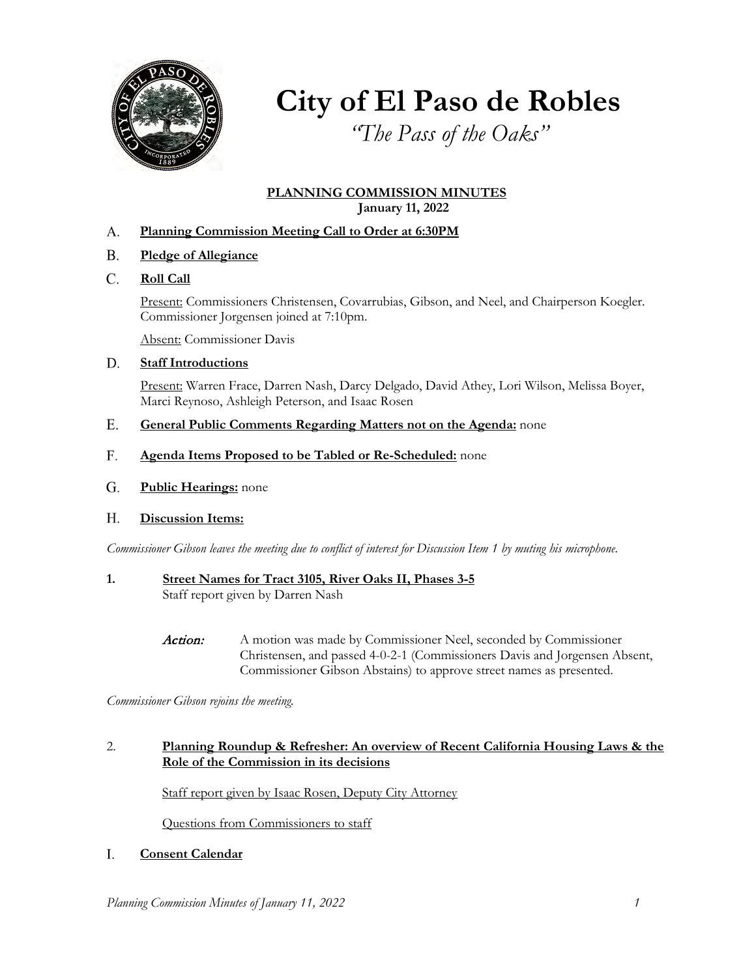

**City of El Paso de Robles**

*"The Pass of the Oaks"*

### **PLANNING COMMISSION MINUTES January 11, 2022**

- **Planning Commission Meeting Call to Order at 6:30PM** A.
- **Pledge of Allegiance** B.
- **Roll Call** C.

Present: Commissioners Christensen, Covarrubias, Gibson, and Neel, and Chairperson Koegler. Commissioner Jorgensen joined at 7:10pm.

Absent: Commissioner Davis

#### **Staff Introductions** D.

Present: Warren Frace, Darren Nash, Darcy Delgado, David Athey, Lori Wilson, Melissa Boyer, Marci Reynoso, Ashleigh Peterson, and Isaac Rosen

- **General Public Comments Regarding Matters not on the Agenda:** none E.
- **Agenda Items Proposed to be Tabled or Re-Scheduled:** none F.
- **Public Hearings:** none G.
- **Discussion Items:**  H.

*Commissioner Gibson leaves the meeting due to conflict of interest for Discussion Item 1 by muting his microphone.* 

- **1. Street Names for Tract 3105, River Oaks II, Phases 3-5**  Staff report given by Darren Nash
	- Action: A motion was made by Commissioner Neel, seconded by Commissioner Christensen, and passed 4-0-2-1 (Commissioners Davis and Jorgensen Absent, Commissioner Gibson Abstains) to approve street names as presented.

*Commissioner Gibson rejoins the meeting.* 

### 2. **Planning Roundup & Refresher: An overview of Recent California Housing Laws & the Role of the Commission in its decisions**

Staff report given by Isaac Rosen, Deputy City Attorney

Questions from Commissioners to staff

#### **Consent Calendar** I.

*Planning Commission Minutes of January 11, 2022 1*